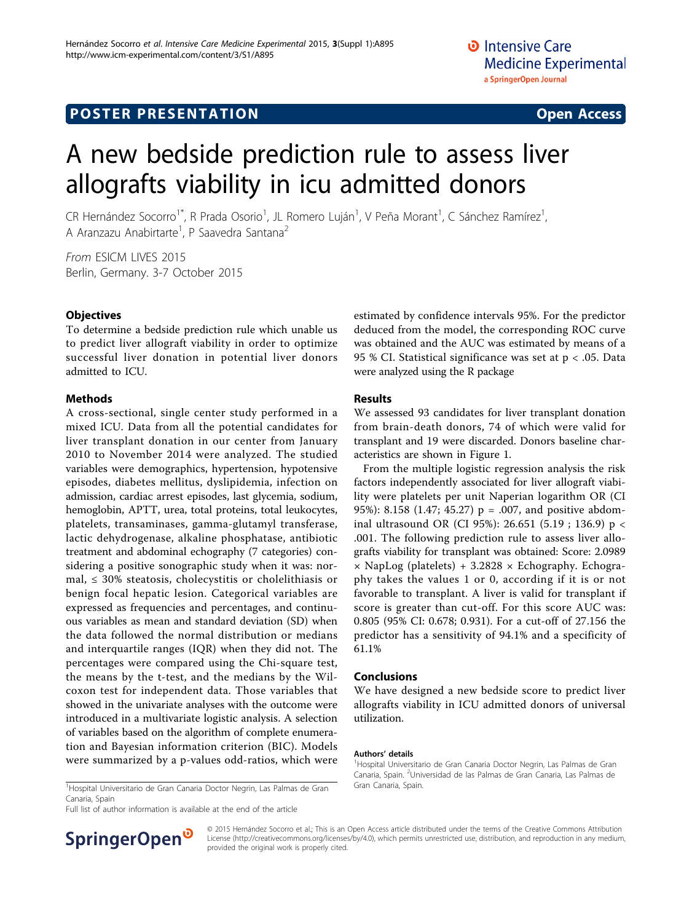# A new bedside prediction rule to assess liver allografts viability in icu admitted donors

CR Hernández Socorro<sup>1\*</sup>, R Prada Osorio<sup>1</sup>, JL Romero Luján<sup>1</sup>, V Peña Morant<sup>1</sup>, C Sánchez Ramírez<sup>1</sup> , A Aranzazu Anabirtarte<sup>1</sup>, P Saavedra Santana<sup>2</sup>

From ESICM LIVES 2015 Berlin, Germany. 3-7 October 2015

# **Objectives**

To determine a bedside prediction rule which unable us to predict liver allograft viability in order to optimize successful liver donation in potential liver donors admitted to ICU.

# Methods

A cross-sectional, single center study performed in a mixed ICU. Data from all the potential candidates for liver transplant donation in our center from January 2010 to November 2014 were analyzed. The studied variables were demographics, hypertension, hypotensive episodes, diabetes mellitus, dyslipidemia, infection on admission, cardiac arrest episodes, last glycemia, sodium, hemoglobin, APTT, urea, total proteins, total leukocytes, platelets, transaminases, gamma-glutamyl transferase, lactic dehydrogenase, alkaline phosphatase, antibiotic treatment and abdominal echography (7 categories) considering a positive sonographic study when it was: normal,  $\leq$  30% steatosis, cholecystitis or cholelithiasis or benign focal hepatic lesion. Categorical variables are expressed as frequencies and percentages, and continuous variables as mean and standard deviation (SD) when the data followed the normal distribution or medians and interquartile ranges (IQR) when they did not. The percentages were compared using the Chi-square test, the means by the t-test, and the medians by the Wilcoxon test for independent data. Those variables that showed in the univariate analyses with the outcome were introduced in a multivariate logistic analysis. A selection of variables based on the algorithm of complete enumeration and Bayesian information criterion (BIC). Models were summarized by a p-values odd-ratios, which were estimated by confidence intervals 95%. For the predictor deduced from the model, the corresponding ROC curve was obtained and the AUC was estimated by means of a 95 % CI. Statistical significance was set at p < .05. Data were analyzed using the R package

# Results

We assessed 93 candidates for liver transplant donation from brain-death donors, 74 of which were valid for transplant and 19 were discarded. Donors baseline characteristics are shown in Figure [1](#page-1-0).

From the multiple logistic regression analysis the risk factors independently associated for liver allograft viability were platelets per unit Naperian logarithm OR (CI 95%): 8.158 (1.47; 45.27) p = .007, and positive abdominal ultrasound OR (CI 95%): 26.651 (5.19 ; 136.9) p < .001. The following prediction rule to assess liver allografts viability for transplant was obtained: Score: 2.0989  $\times$  NapLog (platelets) + 3.2828  $\times$  Echography. Echography takes the values 1 or 0, according if it is or not favorable to transplant. A liver is valid for transplant if score is greater than cut-off. For this score AUC was: 0.805 (95% CI: 0.678; 0.931). For a cut-off of 27.156 the predictor has a sensitivity of 94.1% and a specificity of 61.1%

# Conclusions

We have designed a new bedside score to predict liver allografts viability in ICU admitted donors of universal utilization.

#### Authors' details <sup>1</sup>

<sup>1</sup>Hospital Universitario de Gran Canaria Doctor Negrin, Las Palmas de Gran Gran Canaria, Spain. Canaria, Spain

Full list of author information is available at the end of the article



<sup>1</sup>Hospital Universitario de Gran Canaria Doctor Negrin, Las Palmas de Gran Canaria, Spain. <sup>2</sup>Universidad de las Palmas de Gran Canaria, Las Palmas de

© 2015 Hernández Socorro et al.; This is an Open Access article distributed under the terms of the Creative Commons Attribution License [\(http://creativecommons.org/licenses/by/4.0](http://creativecommons.org/licenses/by/4.0)), which permits unrestricted use, distribution, and reproduction in any medium, provided the original work is properly cited.